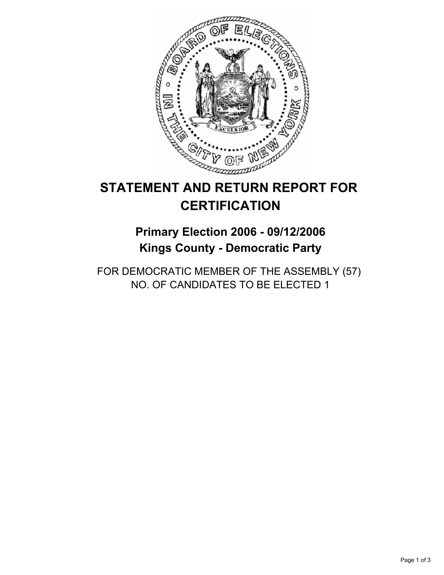

# **STATEMENT AND RETURN REPORT FOR CERTIFICATION**

## **Primary Election 2006 - 09/12/2006 Kings County - Democratic Party**

FOR DEMOCRATIC MEMBER OF THE ASSEMBLY (57) NO. OF CANDIDATES TO BE ELECTED 1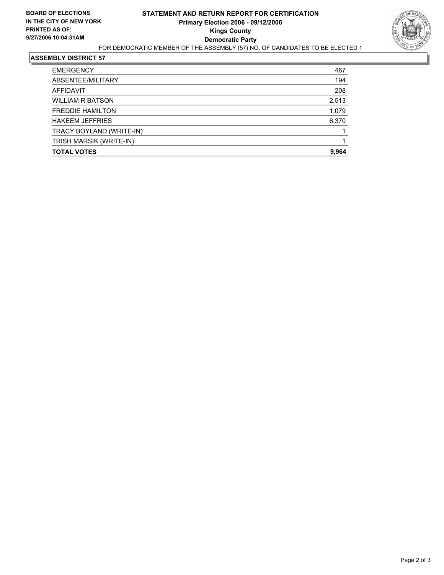

### **ASSEMBLY DISTRICT 57**

| <b>EMERGENCY</b>         | 467   |
|--------------------------|-------|
| ABSENTEE/MILITARY        | 194   |
| AFFIDAVIT                | 208   |
| <b>WILLIAM R BATSON</b>  | 2,513 |
| <b>FREDDIE HAMILTON</b>  | 1,079 |
| <b>HAKEEM JEFFRIES</b>   | 6,370 |
| TRACY BOYLAND (WRITE-IN) |       |
| TRISH MARSIK (WRITE-IN)  |       |
| <b>TOTAL VOTES</b>       | 9,964 |